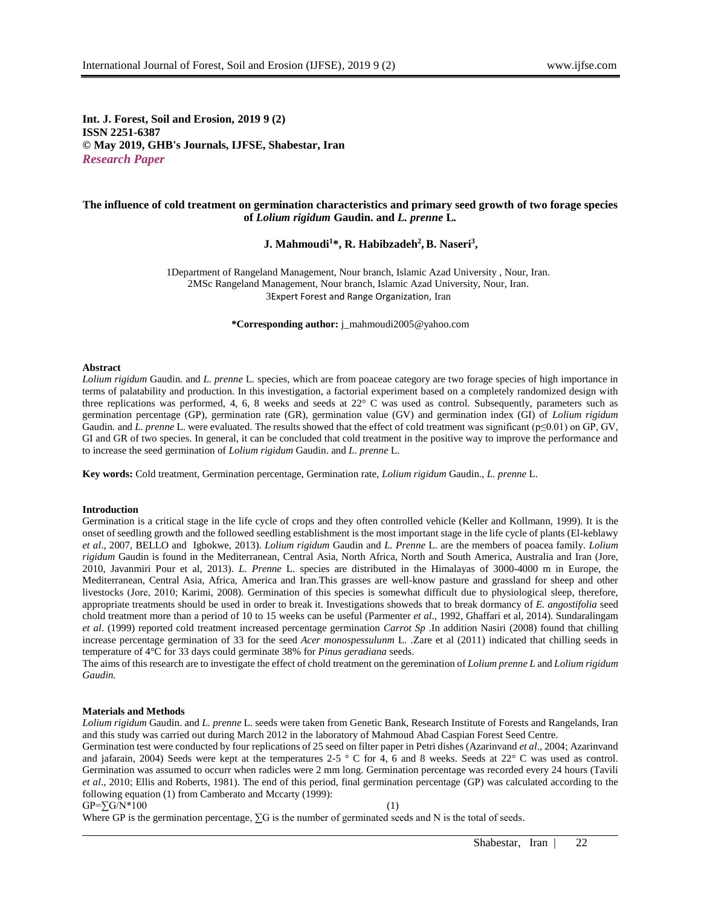**Int. J. Forest, Soil and Erosion, 2019 9 (2) ISSN 2251-6387 © May 2019, GHB's Journals, IJFSE, Shabestar, Iran** *Research Paper*

# **The influence of cold treatment on germination characteristics and primary seed growth of two forage species of** *Lolium rigidum* **Gaudin. and** *L. prenne* **L***.*

**J. Mahmoudi<sup>1</sup>\*, R. Habibzadeh<sup>2</sup> , B. Naseri<sup>3</sup> ,**

1Department of Rangeland Management, Nour branch, Islamic Azad University , Nour, Iran. 2MSc Rangeland Management, Nour branch, Islamic Azad University, Nour, Iran. 3Expert Forest and Range Organization, Iran

**\*Corresponding author:** j\_mahmoudi2005@yahoo.com

#### **Abstract**

*Lolium rigidum* Gaudin*.* and *L. prenne* L*.* species, which are from poaceae category are two forage species of high importance in terms of palatability and production. In this investigation, a factorial experiment based on a completely randomized design with three replications was performed, 4, 6, 8 weeks and seeds at 22° C was used as control. Subsequently, parameters such as germination percentage (GP), germination rate (GR), germination value (GV) and germination index (GI) of *Lolium rigidum*  Gaudin. and *L. prenne* L. were evaluated. The results showed that the effect of cold treatment was significant (p≤0.01) on GP, GV, GI and GR of two species. In general, it can be concluded that cold treatment in the positive way to improve the performance and to increase the seed germination of *Lolium rigidum* Gaudin. and *L*. *prenne* L.

**Key words:** Cold treatment, Germination percentage, Germination rate, *Lolium rigidum* Gaudin., *L. prenne* L.

#### **Introduction**

Germination is a critical stage in the life cycle of crops and they often controlled vehicle (Keller and Kollmann, 1999). It is the onset of seedling growth and the followed seedling establishment is the most important stage in the life cycle of plants (El-keblawy *et al*., 2007, BELLO and Igbokwe, 2013). *Lolium rigidum* Gaudin and *L. Prenne* L. are the members of poacea family. *Lolium rigidum* Gaudin is found in the Mediterranean, Central Asia, North Africa, North and South America, Australia and Iran (Jore, 2010, Javanmiri Pour et al, 2013). *L. Prenne* L. species are distributed in the Himalayas of 3000-4000 m in Europe, the Mediterranean, Central Asia, Africa, America and Iran.This grasses are well-know pasture and grassland for sheep and other livestocks (Jore, 2010; Karimi, 2008). Germination of this species is somewhat difficult due to physiological sleep, therefore, appropriate treatments should be used in order to break it. Investigations showeds that to break dormancy of *E. angostifolia* seed chold treatment more than a period of 10 to 15 weeks can be useful (Parmenter *et al*., 1992, Ghaffari et al, 2014). Sundaralingam *et al*. (1999) reported cold treatment increased percentage germination *Carrot Sp* .In addition Nasiri (2008) found that chilling increase percentage germination of 33 for the seed *Acer monospessulunm* L. .Zare et al (2011) indicated that chilling seeds in temperature of 4°C for 33 days could germinate 38% for *Pinus geradiana* seeds.

The aims of this research are to investigate the effect of chold treatment on the geremination of *Lolium prenne L* and *Lolium rigidum Gaudin.*

### **Materials and Methods**

*Lolium rigidum* Gaudin. and *L. prenne* L. seeds were taken from Genetic Bank, Research Institute of Forests and Rangelands, Iran and this study was carried out during March 2012 in the laboratory of Mahmoud Abad Caspian Forest Seed Centre.

Germination test were conducted by four replications of 25 seed on filter paper in Petri dishes (Azarinvand *et al*., 2004; Azarinvand and jafarain, 2004) Seeds were kept at the temperatures 2-5  $\degree$  C for 4, 6 and 8 weeks. Seeds at 22 $\degree$  C was used as control. Germination was assumed to occurr when radicles were 2 mm long. Germination percentage was recorded every 24 hours (Tavili *et al*., 2010; Ellis and Roberts, 1981). The end of this period, final germination percentage (GP) was calculated according to the following equation (1) from Camberato and Mccarty (1999):

#### $GP = \sum G/N^*100$  (1)

Where GP is the germination percentage,  $\Sigma$ G is the number of germinated seeds and N is the total of seeds.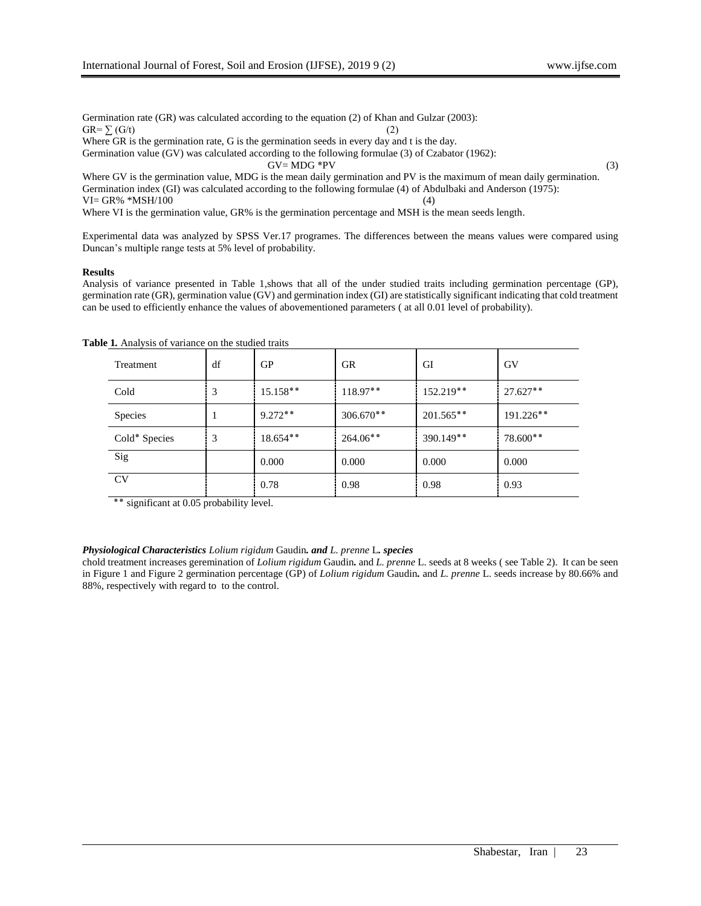Germination rate (GR) was calculated according to the equation (2) of Khan and Gulzar (2003):  $GR = \sum_{l} (G/t)$  (2) Where GR is the germination rate, G is the germination seeds in every day and t is the day.

Germination value (GV) was calculated according to the following formulae (3) of Czabator (1962):  $GV = MDG * PV$  (3)

Where GV is the germination value, MDG is the mean daily germination and PV is the maximum of mean daily germination. Germination index (GI) was calculated according to the following formulae (4) of Abdulbaki and Anderson (1975):  $VI = GR\%$  \*MSH/100 (4)

Where VI is the germination value, GR% is the germination percentage and MSH is the mean seeds length.

Experimental data was analyzed by SPSS Ver.17 programes. The differences between the means values were compared using Duncan's multiple range tests at 5% level of probability.

## **Results**

Analysis of variance presented in Table 1,shows that all of the under studied traits including germination percentage (GP), germination rate (GR), germination value (GV) and germination index (GI) are statistically significant indicating that cold treatment can be used to efficiently enhance the values of abovementioned parameters ( at all 0.01 level of probability).

| Treatment      | df | GP         | <b>GR</b>   | GI          | GV         |
|----------------|----|------------|-------------|-------------|------------|
| Cold           | 3  | $15.158**$ | $118.97**$  | 152.219**   | $27.627**$ |
| <b>Species</b> |    | $9.272**$  | $306.670**$ | $201.565**$ | 191.226**  |
| Cold* Species  | 3  | $18.654**$ | $264.06**$  | 390.149**   | 78.600**   |
| Sig            |    | 0.000      | 0.000       | 0.000       | 0.000      |
| CV             |    | 0.78       | 0.98        | 0.98        | 0.93       |

**Table 1***.* Analysis of variance on the studied traits

٭٭ significant at 0.05 probability level.

## *Physiological Characteristics Lolium rigidum* Gaudin*. and L. prenne* L*. species*

chold treatment increases geremination of *Lolium rigidum* Gaudin*.* and *L. prenne* L. seeds at 8 weeks ( see Table 2). It can be seen in Figure 1 and Figure 2 germination percentage (GP) of *Lolium rigidum* Gaudin*.* and *L. prenne* L. seeds increase by 80.66% and 88%, respectively with regard to to the control.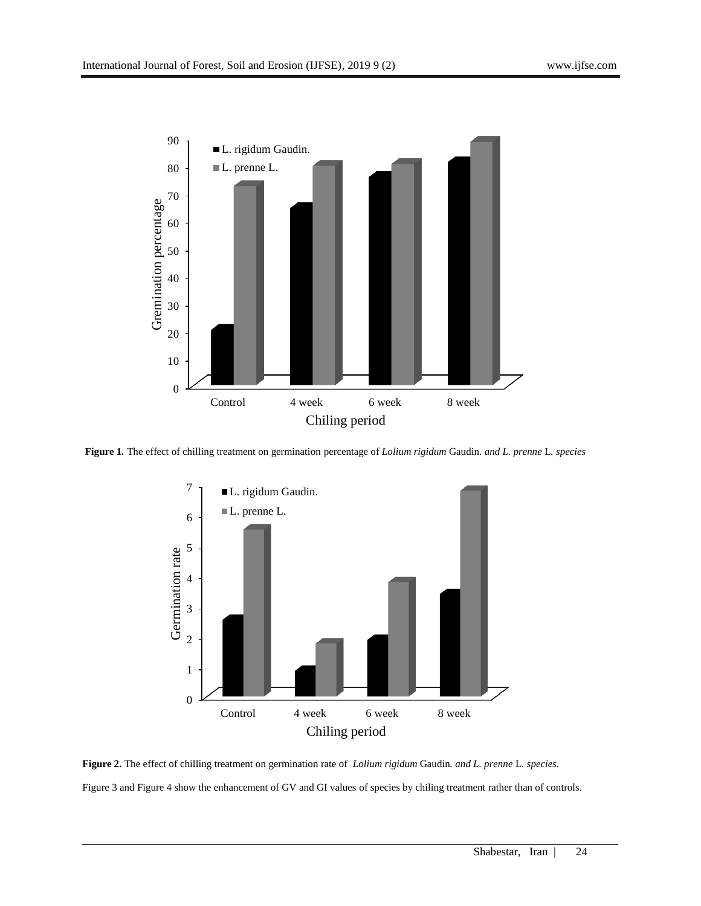

**Figure 1***.* The effect of chilling treatment on germination percentage of *Lolium rigidum* Gaudin*. and L. prenne* L*. species*



**Figure 2.** The effect of chilling treatment on germination rate of *Lolium rigidum* Gaudin*. and L. prenne* L*. species.* Figure 3 and Figure 4 show the enhancement of GV and GI values of species by chiling treatment rather than of controls.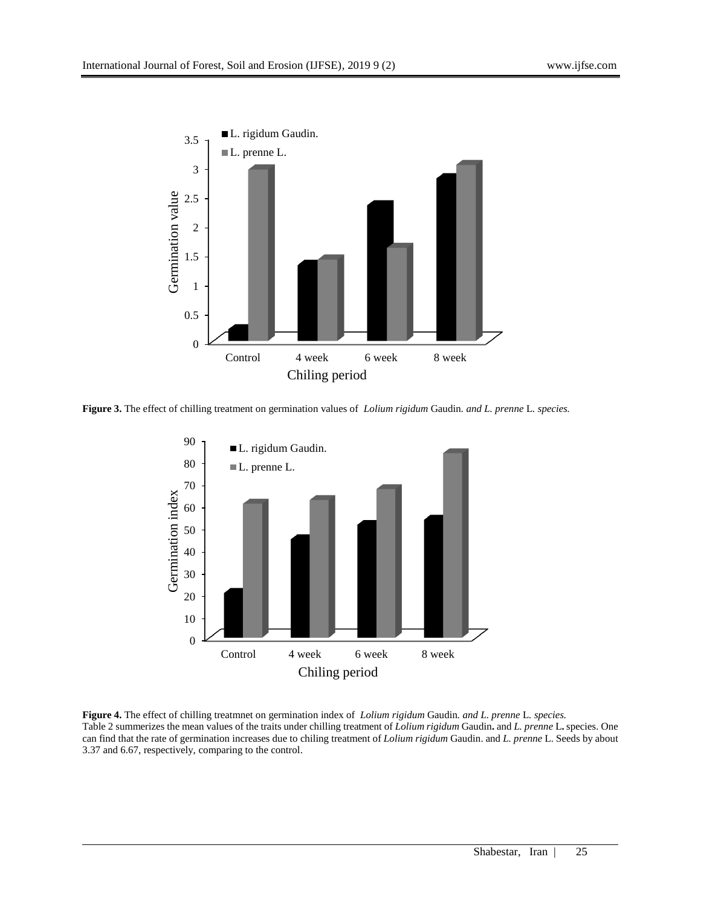

**Figure 3.** The effect of chilling treatment on germination values of *Lolium rigidum* Gaudin*. and L. prenne* L*. species.*



**Figure 4.** The effect of chilling treatmnet on germination index of *Lolium rigidum* Gaudin*. and L. prenne* L*. species.* Table 2 summerizes the mean values of the traits under chilling treatment of *Lolium rigidum* Gaudin**.** and *L. prenne* L**.** species. One can find that the rate of germination increases due to chiling treatment of *Lolium rigidum* Gaudin. and *L. prenne* L. Seeds by about 3.37 and 6.67, respectively, comparing to the control.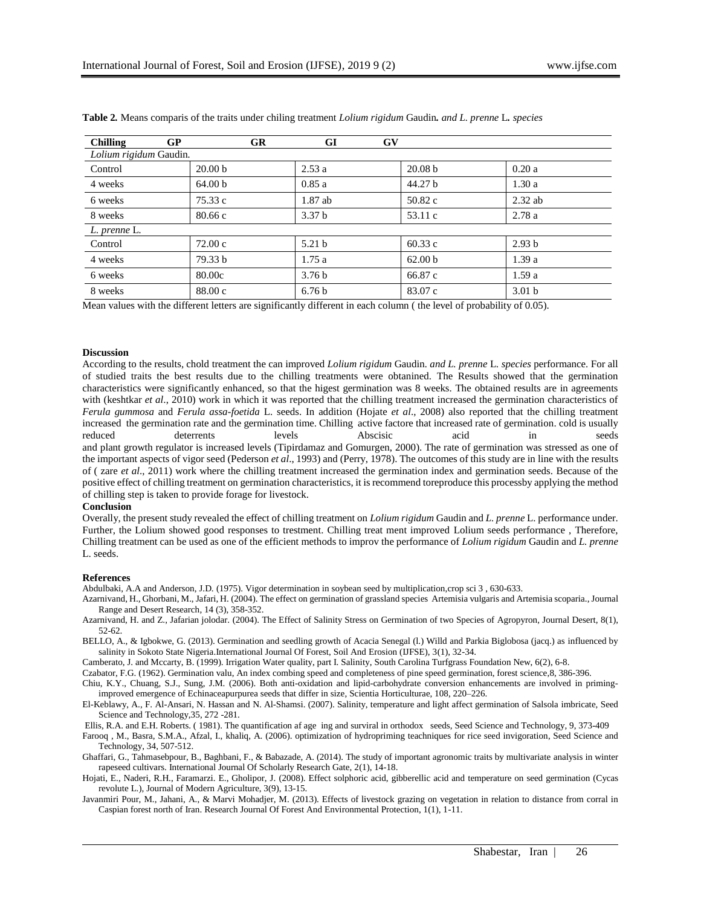| GP<br><b>Chilling</b>  | <b>GR</b>          | G <sub>I</sub><br>$\mathbf{G}\mathbf{V}$ |                    |                   |  |  |  |  |
|------------------------|--------------------|------------------------------------------|--------------------|-------------------|--|--|--|--|
| Lolium rigidum Gaudin. |                    |                                          |                    |                   |  |  |  |  |
| Control                | 20.00 <sub>b</sub> | 2.53a                                    | 20.08 <sub>b</sub> | 0.20a             |  |  |  |  |
| 4 weeks                | 64.00 b            | 0.85a                                    | 44.27 <sub>b</sub> | 1.30a             |  |  |  |  |
| 6 weeks                | 75.33 c            | $1.87$ ab                                | 50.82c             | $2.32$ ab         |  |  |  |  |
| 8 weeks                | 80.66c             | 3.37 <sub>b</sub>                        | 53.11c             | 2.78a             |  |  |  |  |
| L. prenne L.           |                    |                                          |                    |                   |  |  |  |  |
| Control                | 72.00c             | 5.21 <sub>b</sub>                        | 60.33c             | 2.93 <sub>b</sub> |  |  |  |  |
| 4 weeks                | 79.33 b            | 1.75a                                    | 62.00 <sub>b</sub> | 1.39a             |  |  |  |  |
| 6 weeks                | 80.00c             | 3.76 <sub>b</sub>                        | 66.87 c            | 1.59a             |  |  |  |  |
| 8 weeks                | 88.00 c            | 6.76 <sub>b</sub>                        | 83.07 c            | 3.01 <sub>b</sub> |  |  |  |  |

**Table 2***.* Means comparis of the traits under chiling treatment *Lolium rigidum* Gaudin*. and L. prenne* L*. species*

Mean values with the different letters are significantly different in each column ( the level of probability of 0.05).

### **Discussion**

According to the results, chold treatment the can improved *Lolium rigidum* Gaudin*. and L. prenne* L*. species* performance. For all of studied traits the best results due to the chilling treatments were obtanined. The Results showed that the germination characteristics were significantly enhanced, so that the higest germination was 8 weeks. The obtained results are in agreements with (keshtkar *et al.*, 2010) work in which it was reported that the chilling treatment increased the germination characteristics of *Ferula gummosa* and *Ferula assa-foetida* L. seeds. In addition (Hojate *et al*., 2008) also reported that the chilling treatment increased the germination rate and the germination time. Chilling active factore that increased rate of germination. cold is usually reduced deterrents levels Abscisic acid in seeds and plant growth regulator is increased levels (Tipirdamaz and Gomurgen, 2000). The rate of germination was stressed as one of the important aspects of vigor seed (Pederson *et al*., 1993) and (Perry, 1978). The outcomes of this study are in line with the results of ( zare *et al*., 2011) work where the chilling treatment increased the germination index and germination seeds. Because of the positive effect of chilling treatment on germination characteristics, it is recommend toreproduce this processby applying the method of chilling step is taken to provide forage for livestock.

## **Conclusion**

Overally, the present study revealed the effect of chilling treatment on *Lolium rigidum* Gaudin and *L. prenne* L. performance under. Further, the Lolium showed good responses to trestment. Chilling treat ment improved Lolium seeds performance , Therefore, Chilling treatment can be used as one of the efficient methods to improv the performance of *Lolium rigidum* Gaudin and *L. prenne* L. seeds.

## **References**

Abdulbaki, A.A and Anderson, J.D. (1975). Vigor determination in soybean seed by multiplication,crop sci 3 , 630-633.

- Azarnivand, H., Ghorbani, M., Jafari, H. (2004). The effect on germination of grassland species Artemisia vulgaris and Artemisia scoparia., Journal Range and Desert Research, 14 (3), 358-352.
- Azarnivand, H. and Z., Jafarian jolodar. (2004). The Effect of Salinity Stress on Germination of two Species of Agropyron, Journal Desert, 8(1), 52-62.
- BELLO, A., & Igbokwe, G. (2013). Germination and seedling growth of Acacia Senegal (l.) Willd and Parkia Biglobosa (jacq.) as influenced by salinity in Sokoto State Nigeria.International Journal Of Forest, Soil And Erosion (IJFSE), 3(1), 32-34.
- Camberato, J. and Mccarty, B. (1999). Irrigation Water quality, part I. Salinity, South Carolina Turfgrass Foundation New, 6(2), 6-8.

Czabator, F.G. (1962). Germination valu, An index combing speed and completeness of pine speed germination, forest science,8, 386-396.

Chiu, K.Y., Chuang, S.J., Sung, J.M. (2006). Both anti-oxidation and lipid-carbohydrate conversion enhancements are involved in primingimproved emergence of Echinaceapurpurea seeds that differ in size, Scientia Horticulturae, 108, 220–226.

- El-Keblawy, A., F. Al-Ansari, N. Hassan and N. Al-Shamsi. (2007). Salinity, temperature and light affect germination of Salsola imbricate, Seed Science and Technology,35, 272 -281.
- Ellis, R.A. and E.H. Roberts. ( 1981). The quantification af age ing and surviral in orthodox seeds, Seed Science and Technology, 9, 373-409
- Farooq , M., Basra, S.M.A., Afzal, I., khaliq, A. (2006). optimization of hydropriming teachniques for rice seed invigoration, Seed Science and Technology, 34, 507-512.
- Ghaffari, G., Tahmasebpour, B., Baghbani, F., & Babazade, A. (2014). The study of important agronomic traits by multivariate analysis in winter rapeseed cultivars. International Journal Of Scholarly Research Gate, 2(1), 14-18.
- Hojati, E., Naderi, R.H., Faramarzi. E., Gholipor, J. (2008). Effect solphoric acid, gibberellic acid and temperature on seed germination (Cycas revolute L.), Journal of Modern Agriculture, 3(9), 13-15.
- Javanmiri Pour, M., Jahani, A., & Marvi Mohadjer, M. (2013). Effects of livestock grazing on vegetation in relation to distance from corral in Caspian forest north of Iran. Research Journal Of Forest And Environmental Protection, 1(1), 1-11.